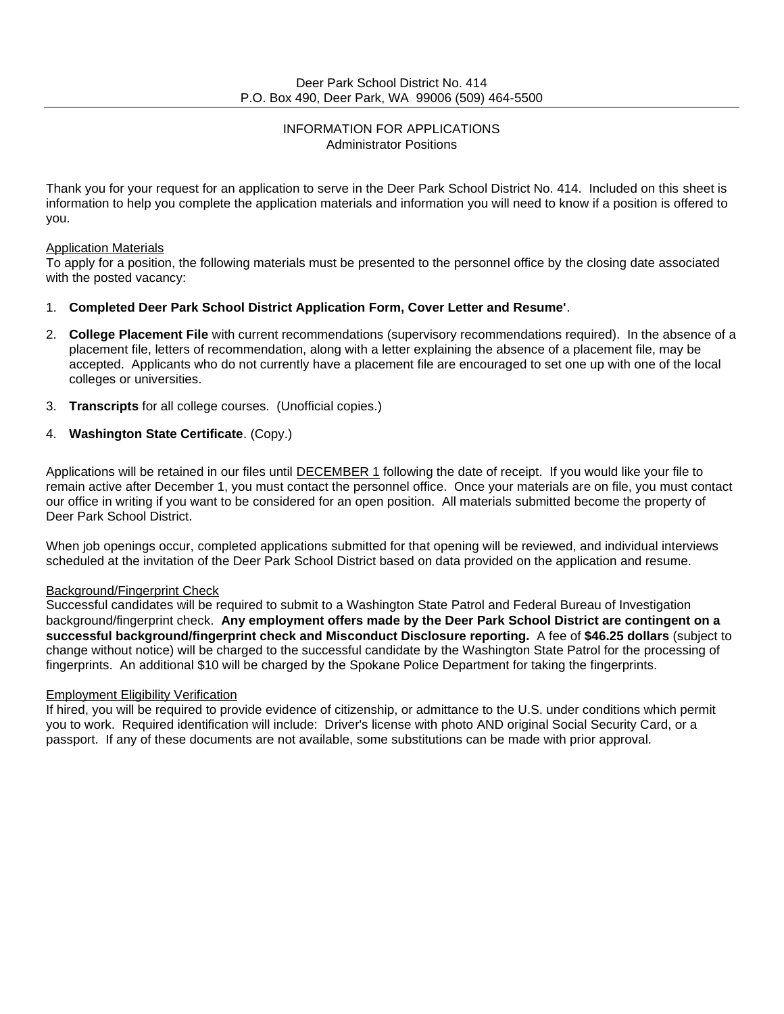### INFORMATION FOR APPLICATIONS Administrator Positions

Thank you for your request for an application to serve in the Deer Park School District No. 414. Included on this sheet is information to help you complete the application materials and information you will need to know if a position is offered to you.

### Application Materials

To apply for a position, the following materials must be presented to the personnel office by the closing date associated with the posted vacancy:

### 1. **Completed Deer Park School District Application Form, Cover Letter and Resume'**.

- 2. **College Placement File** with current recommendations (supervisory recommendations required). In the absence of a placement file, letters of recommendation, along with a letter explaining the absence of a placement file, may be accepted. Applicants who do not currently have a placement file are encouraged to set one up with one of the local colleges or universities.
- 3. **Transcripts** for all college courses. (Unofficial copies.)
- 4. **Washington State Certificate**. (Copy.)

Applications will be retained in our files until **DECEMBER 1** following the date of receipt. If you would like your file to remain active after December 1, you must contact the personnel office. Once your materials are on file, you must contact our office in writing if you want to be considered for an open position. All materials submitted become the property of Deer Park School District.

When job openings occur, completed applications submitted for that opening will be reviewed, and individual interviews scheduled at the invitation of the Deer Park School District based on data provided on the application and resume.

### Background/Fingerprint Check

Successful candidates will be required to submit to a Washington State Patrol and Federal Bureau of Investigation background/fingerprint check. **Any employment offers made by the Deer Park School District are contingent on a successful background/fingerprint check and Misconduct Disclosure reporting.** A fee of **\$46.25 dollars** (subject to change without notice) will be charged to the successful candidate by the Washington State Patrol for the processing of fingerprints. An additional \$10 will be charged by the Spokane Police Department for taking the fingerprints.

### Employment Eligibility Verification

If hired, you will be required to provide evidence of citizenship, or admittance to the U.S. under conditions which permit you to work. Required identification will include: Driver's license with photo AND original Social Security Card, or a passport. If any of these documents are not available, some substitutions can be made with prior approval.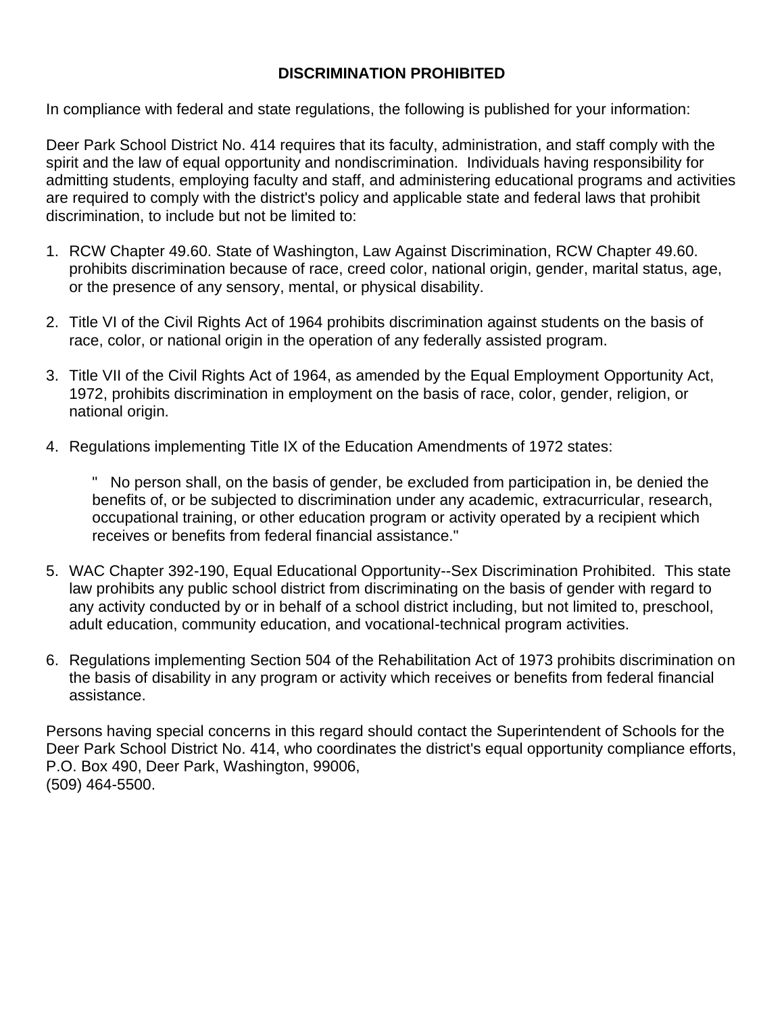### **DISCRIMINATION PROHIBITED**

In compliance with federal and state regulations, the following is published for your information:

Deer Park School District No. 414 requires that its faculty, administration, and staff comply with the spirit and the law of equal opportunity and nondiscrimination. Individuals having responsibility for admitting students, employing faculty and staff, and administering educational programs and activities are required to comply with the district's policy and applicable state and federal laws that prohibit discrimination, to include but not be limited to:

- 1. RCW Chapter 49.60. State of Washington, Law Against Discrimination, RCW Chapter 49.60. prohibits discrimination because of race, creed color, national origin, gender, marital status, age, or the presence of any sensory, mental, or physical disability.
- 2. Title VI of the Civil Rights Act of 1964 prohibits discrimination against students on the basis of race, color, or national origin in the operation of any federally assisted program.
- 3. Title VII of the Civil Rights Act of 1964, as amended by the Equal Employment Opportunity Act, 1972, prohibits discrimination in employment on the basis of race, color, gender, religion, or national origin.
- 4. Regulations implementing Title IX of the Education Amendments of 1972 states:

" No person shall, on the basis of gender, be excluded from participation in, be denied the benefits of, or be subjected to discrimination under any academic, extracurricular, research, occupational training, or other education program or activity operated by a recipient which receives or benefits from federal financial assistance."

- 5. WAC Chapter 392-190, Equal Educational Opportunity--Sex Discrimination Prohibited. This state law prohibits any public school district from discriminating on the basis of gender with regard to any activity conducted by or in behalf of a school district including, but not limited to, preschool, adult education, community education, and vocational-technical program activities.
- 6. Regulations implementing Section 504 of the Rehabilitation Act of 1973 prohibits discrimination on the basis of disability in any program or activity which receives or benefits from federal financial assistance.

Persons having special concerns in this regard should contact the Superintendent of Schools for the Deer Park School District No. 414, who coordinates the district's equal opportunity compliance efforts, P.O. Box 490, Deer Park, Washington, 99006, (509) 464-5500.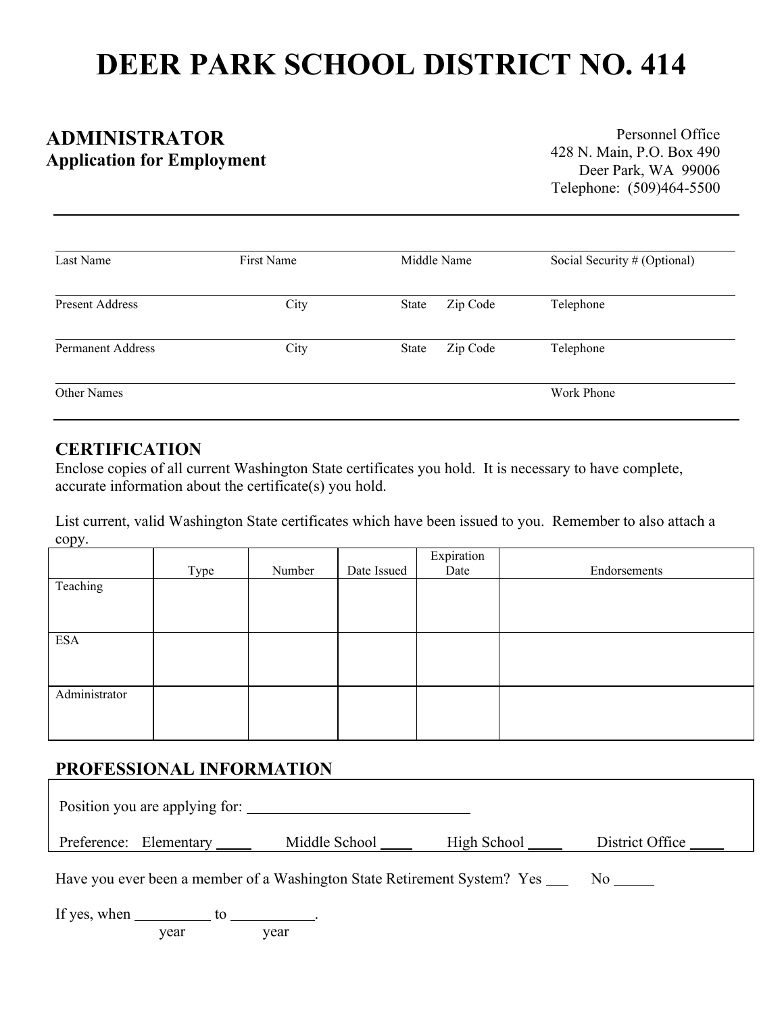# **DEER PARK SCHOOL DISTRICT NO. 414**

# **ADMINISTRATOR Application for Employment**

Personnel Office 428 N. Main, P.O. Box 490 Deer Park, WA 99006 Telephone: (509)464-5500

| Last Name                | First Name | Middle Name              | Social Security # (Optional) |
|--------------------------|------------|--------------------------|------------------------------|
| <b>Present Address</b>   | City       | Zip Code<br>State        | Telephone                    |
| <b>Permanent Address</b> | City       | Zip Code<br><b>State</b> | Telephone                    |
| Other Names              |            |                          | Work Phone                   |

### **CERTIFICATION**

Enclose copies of all current Washington State certificates you hold. It is necessary to have complete, accurate information about the certificate(s) you hold.

List current, valid Washington State certificates which have been issued to you. Remember to also attach a copy.

|               |      |        |             | Expiration |              |
|---------------|------|--------|-------------|------------|--------------|
|               | Type | Number | Date Issued | Date       | Endorsements |
| Teaching      |      |        |             |            |              |
|               |      |        |             |            |              |
|               |      |        |             |            |              |
|               |      |        |             |            |              |
| <b>ESA</b>    |      |        |             |            |              |
|               |      |        |             |            |              |
|               |      |        |             |            |              |
| Administrator |      |        |             |            |              |
|               |      |        |             |            |              |
|               |      |        |             |            |              |
|               |      |        |             |            |              |

# **PROFESSIONAL INFORMATION**

| Position you are applying for: |                                                                                |             |                 |
|--------------------------------|--------------------------------------------------------------------------------|-------------|-----------------|
| Preference: Elementary         | Middle School                                                                  | High School | District Office |
|                                | Have you ever been a member of a Washington State Retirement System? Yes _____ |             | $\rm No$        |

| If yes, when |              |                           |  |
|--------------|--------------|---------------------------|--|
|              | $\mathbf{X}$ | $\mathbf{v}$ $\mathbf{v}$ |  |

year year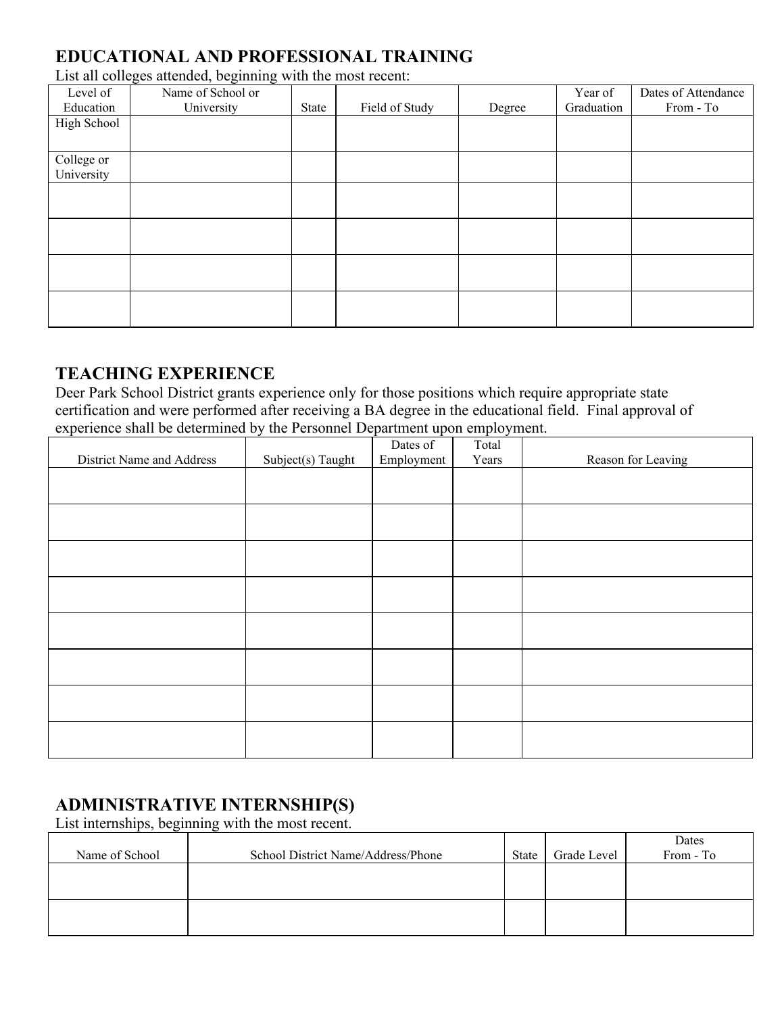# **EDUCATIONAL AND PROFESSIONAL TRAINING**

List all colleges attended, beginning with the most recent:

| Level of    | Name of School or |       |                |        | Year of    | Dates of Attendance |
|-------------|-------------------|-------|----------------|--------|------------|---------------------|
| Education   | University        | State | Field of Study | Degree | Graduation | From - To           |
| High School |                   |       |                |        |            |                     |
|             |                   |       |                |        |            |                     |
| College or  |                   |       |                |        |            |                     |
| University  |                   |       |                |        |            |                     |
|             |                   |       |                |        |            |                     |
|             |                   |       |                |        |            |                     |
|             |                   |       |                |        |            |                     |
|             |                   |       |                |        |            |                     |
|             |                   |       |                |        |            |                     |
|             |                   |       |                |        |            |                     |
|             |                   |       |                |        |            |                     |
|             |                   |       |                |        |            |                     |

# **TEACHING EXPERIENCE**

Deer Park School District grants experience only for those positions which require appropriate state certification and were performed after receiving a BA degree in the educational field. Final approval of experience shall be determined by the Personnel Department upon employment.

|                           |                   | Dates of   | Total |                    |
|---------------------------|-------------------|------------|-------|--------------------|
| District Name and Address | Subject(s) Taught | Employment | Years | Reason for Leaving |
|                           |                   |            |       |                    |
|                           |                   |            |       |                    |
|                           |                   |            |       |                    |
|                           |                   |            |       |                    |
|                           |                   |            |       |                    |
|                           |                   |            |       |                    |
|                           |                   |            |       |                    |
|                           |                   |            |       |                    |
|                           |                   |            |       |                    |
|                           |                   |            |       |                    |
|                           |                   |            |       |                    |
|                           |                   |            |       |                    |
|                           |                   |            |       |                    |
|                           |                   |            |       |                    |
|                           |                   |            |       |                    |
|                           |                   |            |       |                    |

# **ADMINISTRATIVE INTERNSHIP(S)**

List internships, beginning with the most recent.

| Name of School | School District Name/Address/Phone | <b>State</b> | Grade Level | Dates<br>From - To |
|----------------|------------------------------------|--------------|-------------|--------------------|
|                |                                    |              |             |                    |
|                |                                    |              |             |                    |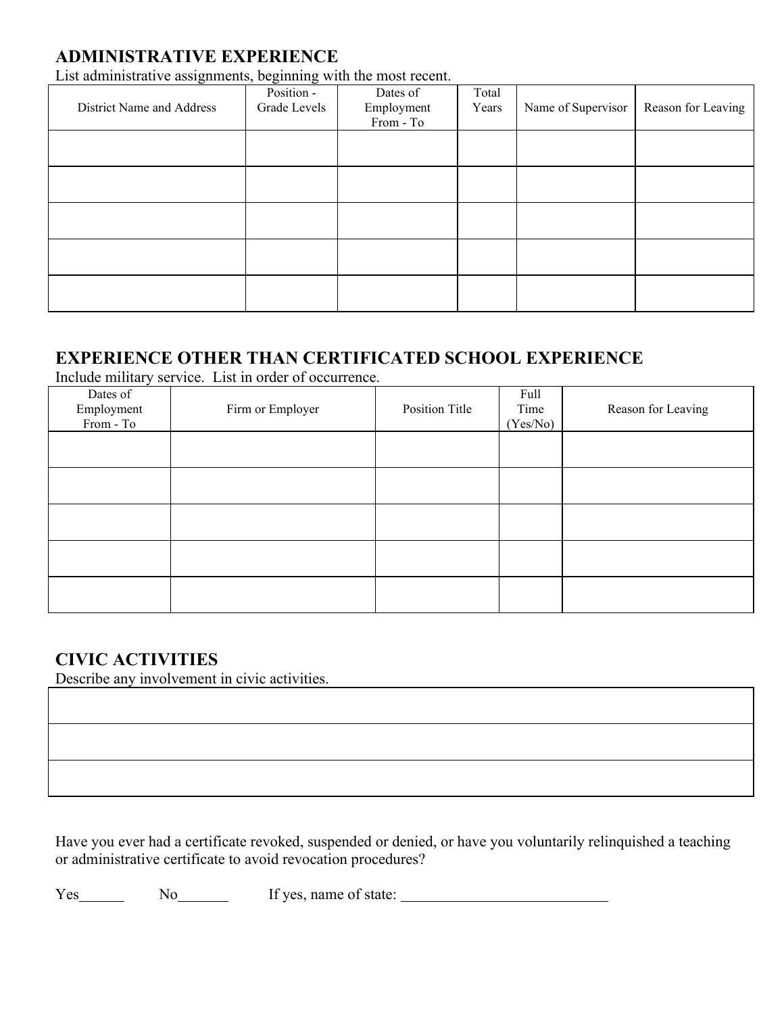## **ADMINISTRATIVE EXPERIENCE**

List administrative assignments, beginning with the most recent.

| District Name and Address | Position -<br>Grade Levels | Dates of<br>Employment<br>From - To | Total<br>Years | Name of Supervisor | Reason for Leaving |
|---------------------------|----------------------------|-------------------------------------|----------------|--------------------|--------------------|
|                           |                            |                                     |                |                    |                    |
|                           |                            |                                     |                |                    |                    |
|                           |                            |                                     |                |                    |                    |
|                           |                            |                                     |                |                    |                    |
|                           |                            |                                     |                |                    |                    |

# **EXPERIENCE OTHER THAN CERTIFICATED SCHOOL EXPERIENCE**

Include military service. List in order of occurrence.

| Dates of<br>Employment<br>From - To | Firm or Employer | Position Title | Full<br>Time<br>(Yes/No) | Reason for Leaving |
|-------------------------------------|------------------|----------------|--------------------------|--------------------|
|                                     |                  |                |                          |                    |
|                                     |                  |                |                          |                    |
|                                     |                  |                |                          |                    |
|                                     |                  |                |                          |                    |
|                                     |                  |                |                          |                    |

# **CIVIC ACTIVITIES**

Describe any involvement in civic activities.

Have you ever had a certificate revoked, suspended or denied, or have you voluntarily relinquished a teaching or administrative certificate to avoid revocation procedures?

Yes No No If yes, name of state: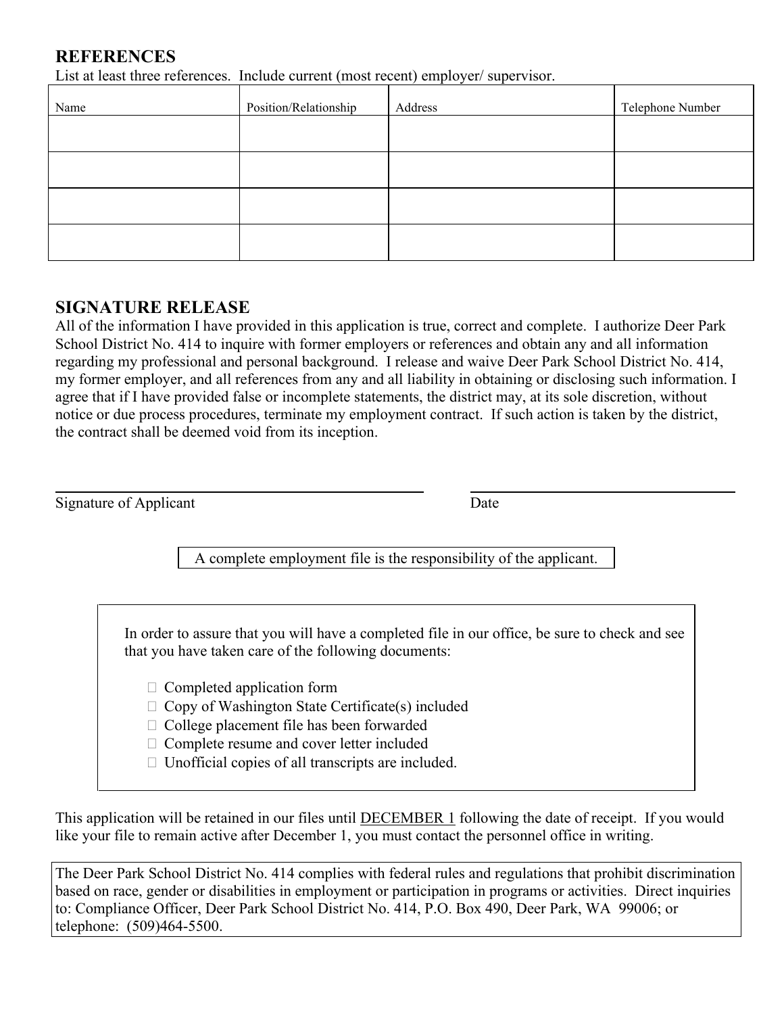### **REFERENCES**

List at least three references. Include current (most recent) employer/ supervisor.

| Name | Position/Relationship | Address | Telephone Number |
|------|-----------------------|---------|------------------|
|      |                       |         |                  |
|      |                       |         |                  |
|      |                       |         |                  |
|      |                       |         |                  |

### **SIGNATURE RELEASE**

All of the information I have provided in this application is true, correct and complete. I authorize Deer Park School District No. 414 to inquire with former employers or references and obtain any and all information regarding my professional and personal background. I release and waive Deer Park School District No. 414, my former employer, and all references from any and all liability in obtaining or disclosing such information. I agree that if I have provided false or incomplete statements, the district may, at its sole discretion, without notice or due process procedures, terminate my employment contract. If such action is taken by the district, the contract shall be deemed void from its inception.

Signature of Applicant Date

A complete employment file is the responsibility of the applicant.

In order to assure that you will have a completed file in our office, be sure to check and see that you have taken care of the following documents:

- $\Box$  Completed application form
- $\Box$  Copy of Washington State Certificate(s) included
- $\Box$  College placement file has been forwarded
- Complete resume and cover letter included
- $\Box$  Unofficial copies of all transcripts are included.

This application will be retained in our files until DECEMBER 1 following the date of receipt. If you would like your file to remain active after December 1, you must contact the personnel office in writing.

The Deer Park School District No. 414 complies with federal rules and regulations that prohibit discrimination based on race, gender or disabilities in employment or participation in programs or activities. Direct inquiries to: Compliance Officer, Deer Park School District No. 414, P.O. Box 490, Deer Park, WA 99006; or telephone: (509)464-5500.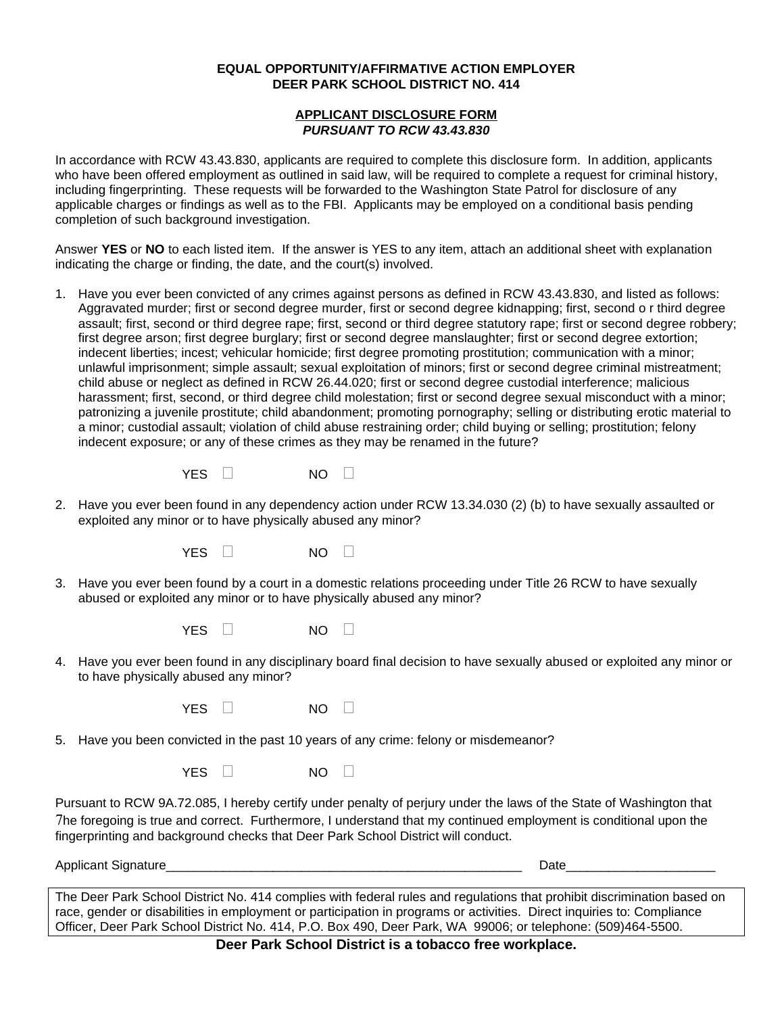### **EQUAL OPPORTUNITY/AFFIRMATIVE ACTION EMPLOYER DEER PARK SCHOOL DISTRICT NO. 414**

### **APPLICANT DISCLOSURE FORM** *PURSUANT TO RCW 43.43.830*

In accordance with RCW 43.43.830, applicants are required to complete this disclosure form. In addition, applicants who have been offered employment as outlined in said law, will be required to complete a request for criminal history, including fingerprinting. These requests will be forwarded to the Washington State Patrol for disclosure of any applicable charges or findings as well as to the FBI. Applicants may be employed on a conditional basis pending completion of such background investigation.

Answer **YES** or **NO** to each listed item. If the answer is YES to any item, attach an additional sheet with explanation indicating the charge or finding, the date, and the court(s) involved.

1. Have you ever been convicted of any crimes against persons as defined in RCW 43.43.830, and listed as follows: Aggravated murder; first or second degree murder, first or second degree kidnapping; first, second o r third degree assault; first, second or third degree rape; first, second or third degree statutory rape; first or second degree robbery; first degree arson; first degree burglary; first or second degree manslaughter; first or second degree extortion; indecent liberties; incest; vehicular homicide; first degree promoting prostitution; communication with a minor; unlawful imprisonment; simple assault; sexual exploitation of minors; first or second degree criminal mistreatment; child abuse or neglect as defined in RCW 26.44.020; first or second degree custodial interference; malicious harassment; first, second, or third degree child molestation; first or second degree sexual misconduct with a minor; patronizing a juvenile prostitute; child abandonment; promoting pornography; selling or distributing erotic material to a minor; custodial assault; violation of child abuse restraining order; child buying or selling; prostitution; felony indecent exposure; or any of these crimes as they may be renamed in the future?

| YES. | NΟ |  |
|------|----|--|
|      |    |  |

2. Have you ever been found in any dependency action under RCW 13.34.030 (2) (b) to have sexually assaulted or exploited any minor or to have physically abused any minor?

YES  $\Box$  NO  $\Box$ 

3. Have you ever been found by a court in a domestic relations proceeding under Title 26 RCW to have sexually abused or exploited any minor or to have physically abused any minor?

YES  $\Box$  NO  $\Box$ 

4. Have you ever been found in any disciplinary board final decision to have sexually abused or exploited any minor or to have physically abused any minor?

| NO |  |
|----|--|
|    |  |
|    |  |

5. Have you been convicted in the past 10 years of any crime: felony or misdemeanor?

YES  $\Box$  NO  $\Box$ 

Pursuant to RCW 9A.72.085, I hereby certify under penalty of perjury under the laws of the State of Washington that 7he foregoing is true and correct. Furthermore, I understand that my continued employment is conditional upon the fingerprinting and background checks that Deer Park School District will conduct.

Applicant Signature **Date** 

The Deer Park School District No. 414 complies with federal rules and regulations that prohibit discrimination based on race, gender or disabilities in employment or participation in programs or activities. Direct inquiries to: Compliance Officer, Deer Park School District No. 414, P.O. Box 490, Deer Park, WA 99006; or telephone: (509)464-5500.

**Deer Park School District is a tobacco free workplace.**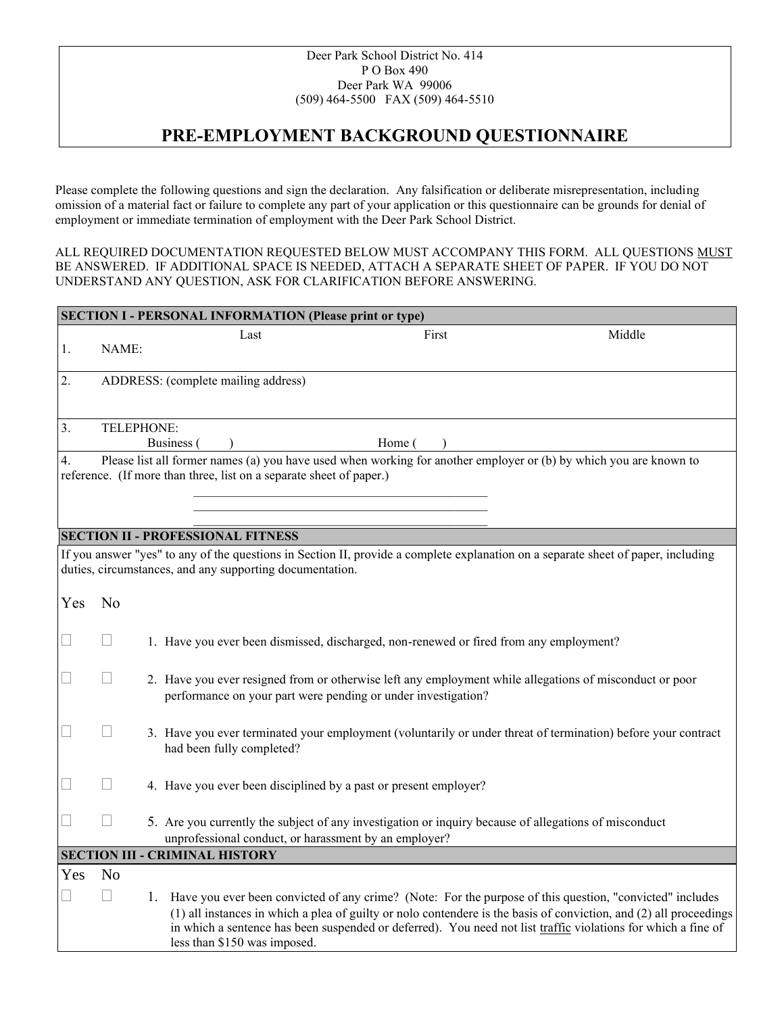#### Deer Park School District No. 414 P O Box 490 Deer Park WA 99006 (509) 464-5500 FAX (509) 464-5510

# **PRE-EMPLOYMENT BACKGROUND QUESTIONNAIRE**

Please complete the following questions and sign the declaration. Any falsification or deliberate misrepresentation, including omission of a material fact or failure to complete any part of your application or this questionnaire can be grounds for denial of employment or immediate termination of employment with the Deer Park School District.

ALL REQUIRED DOCUMENTATION REQUESTED BELOW MUST ACCOMPANY THIS FORM. ALL QUESTIONS MUST BE ANSWERED. IF ADDITIONAL SPACE IS NEEDED, ATTACH A SEPARATE SHEET OF PAPER. IF YOU DO NOT UNDERSTAND ANY QUESTION, ASK FOR CLARIFICATION BEFORE ANSWERING.

| <b>SECTION I - PERSONAL INFORMATION (Please print or type)</b>                                                                                                                                |                                     |  |                                                                                                                                                                                                                                                                                                                                                                                    |  |  |  |  |  |
|-----------------------------------------------------------------------------------------------------------------------------------------------------------------------------------------------|-------------------------------------|--|------------------------------------------------------------------------------------------------------------------------------------------------------------------------------------------------------------------------------------------------------------------------------------------------------------------------------------------------------------------------------------|--|--|--|--|--|
| 1.                                                                                                                                                                                            | NAME:                               |  | Middle<br>First<br>Last                                                                                                                                                                                                                                                                                                                                                            |  |  |  |  |  |
| 2.                                                                                                                                                                                            | ADDRESS: (complete mailing address) |  |                                                                                                                                                                                                                                                                                                                                                                                    |  |  |  |  |  |
| 3.                                                                                                                                                                                            | TELEPHONE:                          |  | Business (<br>Home (                                                                                                                                                                                                                                                                                                                                                               |  |  |  |  |  |
| $\overline{4}$ .                                                                                                                                                                              |                                     |  | Please list all former names (a) you have used when working for another employer or (b) by which you are known to<br>reference. (If more than three, list on a separate sheet of paper.)                                                                                                                                                                                           |  |  |  |  |  |
|                                                                                                                                                                                               |                                     |  | <b>SECTION II - PROFESSIONAL FITNESS</b>                                                                                                                                                                                                                                                                                                                                           |  |  |  |  |  |
| If you answer "yes" to any of the questions in Section II, provide a complete explanation on a separate sheet of paper, including<br>duties, circumstances, and any supporting documentation. |                                     |  |                                                                                                                                                                                                                                                                                                                                                                                    |  |  |  |  |  |
| Yes                                                                                                                                                                                           | N <sub>o</sub>                      |  |                                                                                                                                                                                                                                                                                                                                                                                    |  |  |  |  |  |
| $\Box$                                                                                                                                                                                        | $\vert \ \ \vert$                   |  | 1. Have you ever been dismissed, discharged, non-renewed or fired from any employment?                                                                                                                                                                                                                                                                                             |  |  |  |  |  |
| $\Box$                                                                                                                                                                                        | $\vert \ \ \vert$                   |  | 2. Have you ever resigned from or otherwise left any employment while allegations of misconduct or poor<br>performance on your part were pending or under investigation?                                                                                                                                                                                                           |  |  |  |  |  |
| $\overline{\phantom{a}}$                                                                                                                                                                      | $\vert \ \ \vert$                   |  | 3. Have you ever terminated your employment (voluntarily or under threat of termination) before your contract<br>had been fully completed?                                                                                                                                                                                                                                         |  |  |  |  |  |
|                                                                                                                                                                                               |                                     |  | 4. Have you ever been disciplined by a past or present employer?                                                                                                                                                                                                                                                                                                                   |  |  |  |  |  |
|                                                                                                                                                                                               | $\overline{\phantom{a}}$            |  | 5. Are you currently the subject of any investigation or inquiry because of allegations of misconduct<br>unprofessional conduct, or harassment by an employer?                                                                                                                                                                                                                     |  |  |  |  |  |
|                                                                                                                                                                                               |                                     |  | <b>SECTION III - CRIMINAL HISTORY</b>                                                                                                                                                                                                                                                                                                                                              |  |  |  |  |  |
| Yes                                                                                                                                                                                           | N <sub>o</sub>                      |  |                                                                                                                                                                                                                                                                                                                                                                                    |  |  |  |  |  |
|                                                                                                                                                                                               | $\Box$                              |  | 1. Have you ever been convicted of any crime? (Note: For the purpose of this question, "convicted" includes<br>(1) all instances in which a plea of guilty or nolo contendere is the basis of conviction, and (2) all proceedings<br>in which a sentence has been suspended or deferred). You need not list traffic violations for which a fine of<br>less than \$150 was imposed. |  |  |  |  |  |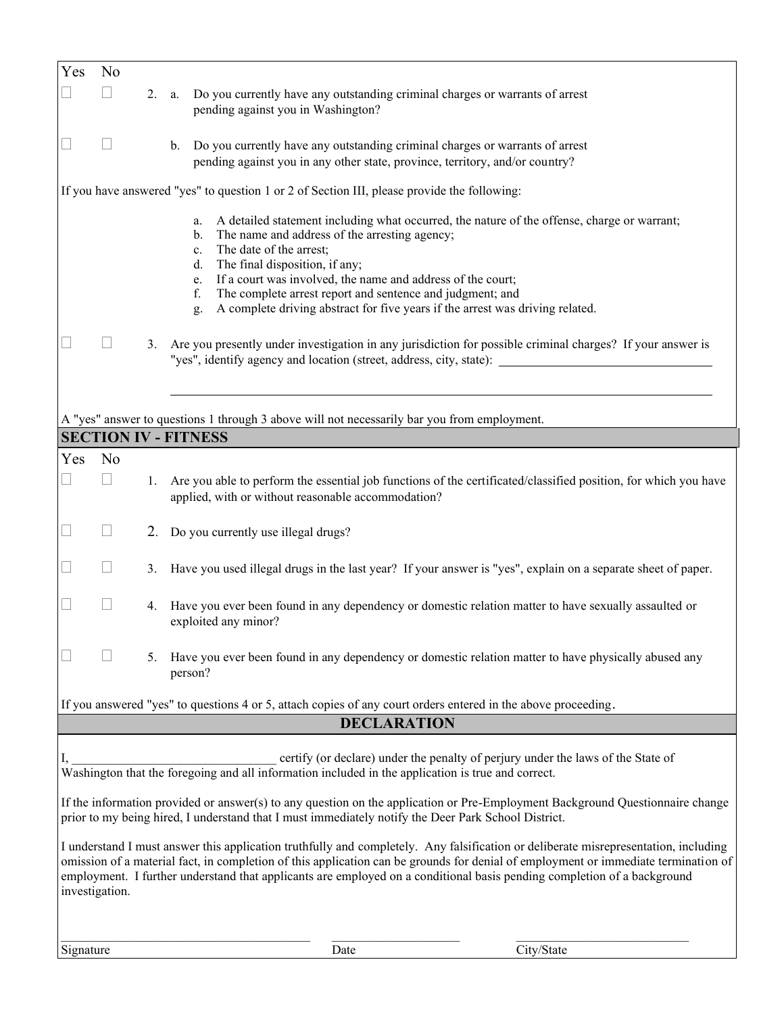| Yes                                                                                                                                                                                                                                                                                                                                                                                                                    | N <sub>o</sub>                                                                              |    |                                                                                                                                                                                                                                                                                                                                                                                     |                                                                                                                 |  |  |  |
|------------------------------------------------------------------------------------------------------------------------------------------------------------------------------------------------------------------------------------------------------------------------------------------------------------------------------------------------------------------------------------------------------------------------|---------------------------------------------------------------------------------------------|----|-------------------------------------------------------------------------------------------------------------------------------------------------------------------------------------------------------------------------------------------------------------------------------------------------------------------------------------------------------------------------------------|-----------------------------------------------------------------------------------------------------------------|--|--|--|
|                                                                                                                                                                                                                                                                                                                                                                                                                        |                                                                                             | 2. | Do you currently have any outstanding criminal charges or warrants of arrest<br>a.<br>pending against you in Washington?                                                                                                                                                                                                                                                            |                                                                                                                 |  |  |  |
|                                                                                                                                                                                                                                                                                                                                                                                                                        |                                                                                             |    | Do you currently have any outstanding criminal charges or warrants of arrest<br>$b_{\cdot}$<br>pending against you in any other state, province, territory, and/or country?                                                                                                                                                                                                         |                                                                                                                 |  |  |  |
|                                                                                                                                                                                                                                                                                                                                                                                                                        | If you have answered "yes" to question 1 or 2 of Section III, please provide the following: |    |                                                                                                                                                                                                                                                                                                                                                                                     |                                                                                                                 |  |  |  |
|                                                                                                                                                                                                                                                                                                                                                                                                                        |                                                                                             |    | a.<br>The name and address of the arresting agency;<br>$b_{\cdot}$<br>The date of the arrest;<br>$c_{\cdot}$<br>The final disposition, if any;<br>d.<br>If a court was involved, the name and address of the court;<br>e.<br>The complete arrest report and sentence and judgment; and<br>f.<br>A complete driving abstract for five years if the arrest was driving related.<br>g. | A detailed statement including what occurred, the nature of the offense, charge or warrant;                     |  |  |  |
|                                                                                                                                                                                                                                                                                                                                                                                                                        |                                                                                             | 3. | Are you presently under investigation in any jurisdiction for possible criminal charges? If your answer is<br>"yes", identify agency and location (street, address, city, state): ________________________________                                                                                                                                                                  |                                                                                                                 |  |  |  |
|                                                                                                                                                                                                                                                                                                                                                                                                                        |                                                                                             |    |                                                                                                                                                                                                                                                                                                                                                                                     |                                                                                                                 |  |  |  |
|                                                                                                                                                                                                                                                                                                                                                                                                                        |                                                                                             |    | A "yes" answer to questions 1 through 3 above will not necessarily bar you from employment.<br><b>SECTION IV - FITNESS</b>                                                                                                                                                                                                                                                          |                                                                                                                 |  |  |  |
| Yes                                                                                                                                                                                                                                                                                                                                                                                                                    | N <sub>o</sub>                                                                              |    |                                                                                                                                                                                                                                                                                                                                                                                     |                                                                                                                 |  |  |  |
|                                                                                                                                                                                                                                                                                                                                                                                                                        |                                                                                             | 1. | applied, with or without reasonable accommodation?                                                                                                                                                                                                                                                                                                                                  | Are you able to perform the essential job functions of the certificated/classified position, for which you have |  |  |  |
|                                                                                                                                                                                                                                                                                                                                                                                                                        |                                                                                             |    | 2. Do you currently use illegal drugs?                                                                                                                                                                                                                                                                                                                                              |                                                                                                                 |  |  |  |
|                                                                                                                                                                                                                                                                                                                                                                                                                        |                                                                                             | 3. | Have you used illegal drugs in the last year? If your answer is "yes", explain on a separate sheet of paper.                                                                                                                                                                                                                                                                        |                                                                                                                 |  |  |  |
|                                                                                                                                                                                                                                                                                                                                                                                                                        |                                                                                             | 4. | Have you ever been found in any dependency or domestic relation matter to have sexually assaulted or<br>exploited any minor?                                                                                                                                                                                                                                                        |                                                                                                                 |  |  |  |
|                                                                                                                                                                                                                                                                                                                                                                                                                        |                                                                                             | 5. | Have you ever been found in any dependency or domestic relation matter to have physically abused any<br>person?                                                                                                                                                                                                                                                                     |                                                                                                                 |  |  |  |
|                                                                                                                                                                                                                                                                                                                                                                                                                        |                                                                                             |    | If you answered "yes" to questions 4 or 5, attach copies of any court orders entered in the above proceeding.<br><b>DECLARATION</b>                                                                                                                                                                                                                                                 |                                                                                                                 |  |  |  |
|                                                                                                                                                                                                                                                                                                                                                                                                                        |                                                                                             |    |                                                                                                                                                                                                                                                                                                                                                                                     |                                                                                                                 |  |  |  |
| certify (or declare) under the penalty of perjury under the laws of the State of<br>Washington that the foregoing and all information included in the application is true and correct.                                                                                                                                                                                                                                 |                                                                                             |    |                                                                                                                                                                                                                                                                                                                                                                                     |                                                                                                                 |  |  |  |
| If the information provided or answer(s) to any question on the application or Pre-Employment Background Questionnaire change<br>prior to my being hired, I understand that I must immediately notify the Deer Park School District.                                                                                                                                                                                   |                                                                                             |    |                                                                                                                                                                                                                                                                                                                                                                                     |                                                                                                                 |  |  |  |
| I understand I must answer this application truthfully and completely. Any falsification or deliberate misrepresentation, including<br>omission of a material fact, in completion of this application can be grounds for denial of employment or immediate termination of<br>employment. I further understand that applicants are employed on a conditional basis pending completion of a background<br>investigation. |                                                                                             |    |                                                                                                                                                                                                                                                                                                                                                                                     |                                                                                                                 |  |  |  |
| Signature                                                                                                                                                                                                                                                                                                                                                                                                              |                                                                                             |    | Date                                                                                                                                                                                                                                                                                                                                                                                | City/State                                                                                                      |  |  |  |